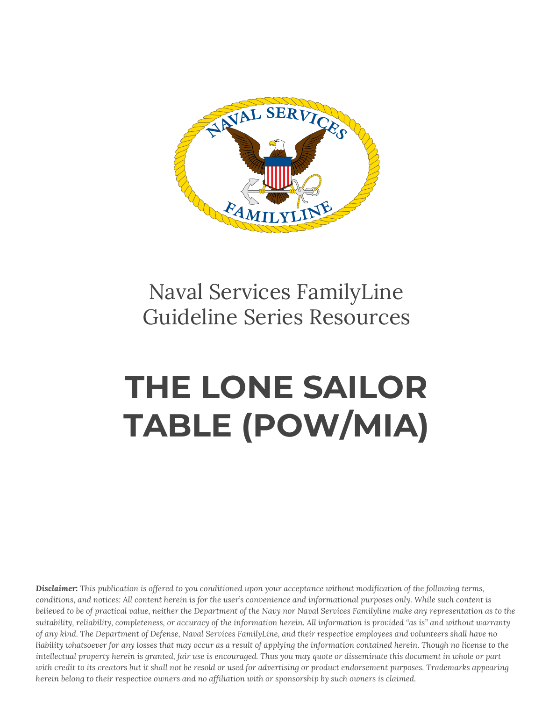

## Naval Services FamilyLine Guideline Series Resources

## **THE LONE SAILOR TABLE (POW/MIA)**

Disclaimer: This publication is offered to you conditioned upon your acceptance without modification of the following terms, conditions, and notices: All content herein is for the user's convenience and informational purposes only. While such content is believed to be of practical value, neither the Department of the Navy nor Naval Services Familyline make any representation as to the suitability, reliability, completeness, or accuracy of the information herein. All information is provided "as is" and without warranty of any kind. The Department of Defense, Naval Services FamilyLine, and their respective employees and volunteers shall have no liability whatsoever for any losses that may occur as a result of applying the information contained herein. Though no license to the intellectual property herein is granted, fair use is encouraged. Thus you may quote or disseminate this document in whole or part with credit to its creators but it shall not be resold or used for advertising or product endorsement purposes. Trademarks appearing herein belong to their respective owners and no affiliation with or sponsorship by such owners is claimed.